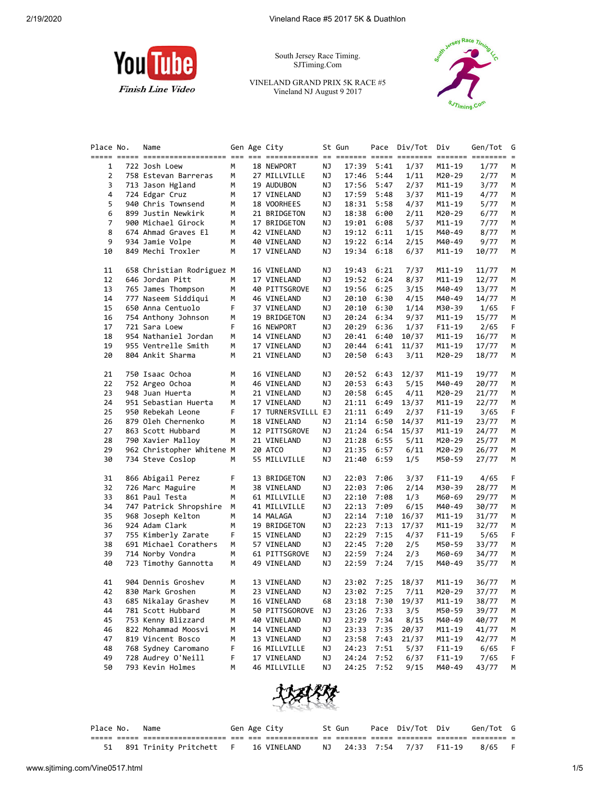

South Jersey Race Timing. SJTiming.Com

VINELAND GRAND PRIX 5K RACE #5 Vineland NJ August 9 2017



| Place No. | Name                                   |   | Gen Age City       |    | St Gun | Pace       | Div/Tot | Div        | Gen/Tot | G |
|-----------|----------------------------------------|---|--------------------|----|--------|------------|---------|------------|---------|---|
|           |                                        |   |                    |    |        |            |         |            |         |   |
| 1         | 722 Josh Loew                          | М | 18 NEWPORT         | ΝJ | 17:39  | 5:41       | 1/37    | M11-19     | 1/77    | м |
| 2         | 758 Estevan Barreras                   | М | 27 MILLVILLE       | ΝJ | 17:46  | 5:44       | 1/11    | M20-29     | 2/77    | м |
| 3         | 713 Jason Hgland                       | м | 19 AUDUBON         | ΝJ | 17:56  | 5:47       | 2/37    | M11-19     | 3/77    | м |
| 4         | 724 Edgar Cruz                         | М | 17 VINELAND        | ΝJ | 17:59  | 5:48       | 3/37    | M11-19     | 4/77    | М |
| 5         | 940 Chris Townsend                     | М | 18 VOORHEES        | ΝJ | 18:31  | 5:58       | 4/37    | M11-19     | 5/77    | М |
| 6         | 899 Justin Newkirk                     | м | 21 BRIDGETON       | ΝJ | 18:38  | 6:00       | 2/11    | M20-29     | 6/77    | М |
| 7         | 900 Michael Girock                     | м | 17 BRIDGETON       | ΝJ | 19:01  | 6:08       | 5/37    | M11-19     | 7/77    | M |
| 8         |                                        | м |                    |    |        | 6:11       | 1/15    |            |         | М |
| 9         | 674 Ahmad Graves El<br>934 Jamie Volpe |   | 42 VINELAND        | ΝJ | 19:12  |            |         | M40-49     | 8/77    |   |
|           |                                        | м | 40 VINELAND        | ΝJ | 19:22  | 6:14       | 2/15    | M40-49     | 9/77    | М |
| 10        | 849 Mechi Troxler                      | М | 17 VINELAND        | ΝJ | 19:34  | 6:18       | 6/37    | M11-19     | 10/77   | М |
| 11        | 658 Christian Rodriguez M              |   | 16 VINELAND        | ΝJ | 19:43  | 6:21       | 7/37    | M11-19     | 11/77   | М |
| 12        | 646 Jordan Pitt                        | М | 17 VINELAND        | ΝJ | 19:52  | 6:24       | 8/37    | M11-19     | 12/77   | м |
| 13        | 765 James Thompson                     | м | 40 PITTSGROVE      | ΝJ | 19:56  | 6:25       | 3/15    | M40-49     | 13/77   | М |
| 14        | 777 Naseem Siddiqui                    | м | 46 VINELAND        | ΝJ | 20:10  | 6:30       | 4/15    | M40-49     | 14/77   | м |
| 15        | 650 Anna Centuolo                      | F | 37 VINELAND        | ΝJ | 20:10  | 6:30       | 1/14    | M30-39     | 1/65    | F |
| 16        | 754 Anthony Johnson                    | м | 19 BRIDGETON       | ΝJ | 20:24  | 6:34       | 9/37    | M11-19     | 15/77   | М |
| 17        | 721 Sara Loew                          | F | 16 NEWPORT         | ΝJ | 20:29  | 6:36       | 1/37    | $F11-19$   | 2/65    | F |
| 18        | 954 Nathaniel Jordan                   | М | 14 VINELAND        | ΝJ | 20:41  | 6:40       | 10/37   | M11-19     | 16/77   | м |
| 19        | 955 Ventrelle Smith                    | м |                    |    |        | 6:41       |         |            |         |   |
|           | 804 Ankit Sharma                       |   | 17 VINELAND        | ΝJ | 20:44  |            | 11/37   | M11-19     | 17/77   | м |
| 20        |                                        | М | 21 VINELAND        | ΝJ | 20:50  | 6:43       | 3/11    | M20-29     | 18/77   | М |
| 21        | 750 Isaac Ochoa                        | м | 16 VINELAND        | ΝJ | 20:52  | 6:43       | 12/37   | M11-19     | 19/77   | M |
| 22        | 752 Argeo Ochoa                        | м | 46 VINELAND        | ΝJ | 20:53  | 6:43       | 5/15    | M40-49     | 20/77   | М |
| 23        | 948 Juan Huerta                        | М | 21 VINELAND        | ΝJ | 20:58  | 6:45       | 4/11    | M20-29     | 21/77   | М |
| 24        | 951 Sebastian Huerta                   | м | 17 VINELAND        | ΝJ | 21:11  | 6:49       | 13/37   | M11-19     | 22/77   | м |
| 25        | 950 Rebekah Leone                      | F | 17 TURNERSVILLL EJ |    | 21:11  | 6:49       | 2/37    | $F11-19$   | 3/65    | F |
| 26        |                                        | М |                    | ΝJ |        |            | 14/37   |            |         | М |
|           | 879 Oleh Chernenko                     |   | 18 VINELAND        |    | 21:14  | 6:50       |         | M11-19     | 23/77   |   |
| 27        | 863 Scott Hubbard                      | М | 12 PITTSGROVE      | ΝJ | 21:24  | 6:54       | 15/37   | M11-19     | 24/77   | М |
| 28        | 790 Xavier Malloy                      | м | 21 VINELAND        | ΝJ | 21:28  | 6:55       | 5/11    | M20-29     | 25/77   | М |
| 29        | 962 Christopher Whitene M              |   | 20 ATCO            | ΝJ | 21:35  | 6:57       | 6/11    | M20-29     | 26/77   | м |
| 30        | 734 Steve Coslop                       | м | 55 MILLVILLE       | ΝJ | 21:40  | 6:59       | 1/5     | M50-59     | 27/77   | м |
| 31        | 866 Abigail Perez                      | F | 13 BRIDGETON       | ΝJ | 22:03  | 7:06       | 3/37    | F11-19     | 4/65    | F |
| 32        | 726 Marc Maguire                       | М | 38 VINELAND        | ΝJ | 22:03  | 7:06       | 2/14    | M30-39     | 28/77   | М |
| 33        | 861 Paul Testa                         | м | 61 MILLVILLE       | ΝJ | 22:10  | 7:08       | 1/3     | M60-69     | 29/77   | М |
| 34        | 747 Patrick Shropshire                 | М | 41 MILLVILLE       | ΝJ | 22:13  | 7:09       | 6/15    | M40-49     | 30/77   | м |
| 35        | 968 Joseph Kelton                      | М | 14 MALAGA          | ΝJ | 22:14  | 7:10       | 16/37   | M11-19     | 31/77   | М |
| 36        | 924 Adam Clark                         | м | 19 BRIDGETON       | ΝJ | 22:23  | 7:13       | 17/37   | M11-19     | 32/77   | М |
| 37        | 755 Kimberly Zarate                    | F | 15 VINELAND        | ΝJ | 22:29  | 7:15       | 4/37    | $F11-19$   | 5/65    | F |
| 38        | 691 Michael Corathers                  | м | 57 VINELAND        | ΝJ | 22:45  | 7:20       | 2/5     | M50-59     | 33/77   | М |
| 39        | 714 Norby Vondra                       | м | 61 PITTSGROVE      | ΝJ | 22:59  | 7:24       | 2/3     | M60-69     | 34/77   | М |
| 40        | 723 Timothy Gannotta                   | М | 49 VINELAND        | ΝJ | 22:59  | 7:24       | 7/15    | M40-49     | 35/77   | М |
|           |                                        |   |                    |    |        |            |         |            |         |   |
| 41        | 904 Dennis Groshev                     | м | 13 VINELAND        | ΝJ |        | 23:02 7:25 | 18/37   | M11-19     | 36/77   | М |
| 42        | 830 Mark Groshen                       | М | 23 VINELAND        | ΝJ | 23:02  | 7:25       | 7/11    | M20-29     | 37/77   | Μ |
| 43        | 685 Nikalay Grashev                    | м | 16 VINELAND        | 68 | 23:18  | 7:30       | 19/37   | $M11 - 19$ | 38/77   | м |
| 44        | 781 Scott Hubbard                      | м | 50 PITTSGOROVE     | ΝJ | 23:26  | 7:33       | 3/5     | M50-59     | 39/77   | М |
| 45        | 753 Kenny Blizzard                     | м | 40 VINELAND        | ΝJ | 23:29  | 7:34       | 8/15    | M40-49     | 40/77   | М |
| 46        | 822 Mohammad Moosvi                    | м | 14 VINELAND        | ΝJ | 23:33  | 7:35       | 20/37   | M11-19     | 41/77   | м |
| 47        | 819 Vincent Bosco                      | м | 13 VINELAND        | ΝJ | 23:58  | 7:43       | 21/37   | $M11 - 19$ | 42/77   | М |
| 48        | 768 Sydney Caromano                    | F | 16 MILLVILLE       | ΝJ | 24:23  | 7:51       | 5/37    | $F11 - 19$ | 6/65    | F |
| 49        | 728 Audrey O'Neill                     | F | 17 VINELAND        | ΝJ | 24:24  | 7:52       | 6/37    | $F11 - 19$ | 7/65    | F |
| 50        | 793 Kevin Holmes                       | М | 46 MILLVILLE       | ΝJ | 24:25  | 7:52       | 9/15    | M40-49     | 43/77   | M |



| Place No. | Name                                   |  | Gen Age City | St Gun |                           | Pace Div/Tot Div Gen/Tot G |  |
|-----------|----------------------------------------|--|--------------|--------|---------------------------|----------------------------|--|
|           |                                        |  |              |        |                           |                            |  |
|           | 51 891 Trinity Pritchett F 16 VINELAND |  |              |        | NJ 24:33 7:54 7/37 F11-19 | $8/65$ F                   |  |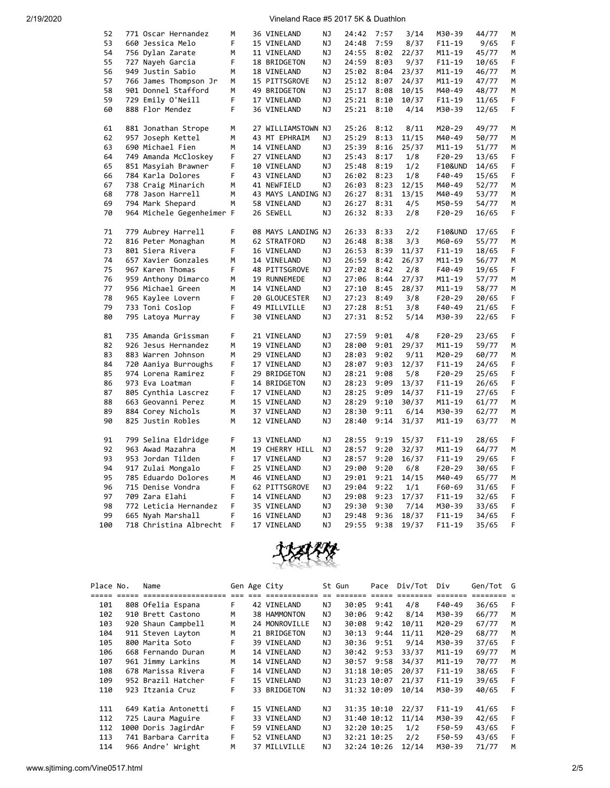| 52  | 771 Oscar Hernandez       | M | 36 VINELAND        | ΝJ        | 24:42 | 7:57 | 3/14  | M30-39             | 44/77 | M |
|-----|---------------------------|---|--------------------|-----------|-------|------|-------|--------------------|-------|---|
| 53  | 660 Jessica Melo          | F | 15 VINELAND        | NJ        | 24:48 | 7:59 | 8/37  | $F11 - 19$         | 9/65  | F |
| 54  | 756 Dylan Zarate          | M | 11 VINELAND        | NJ        | 24:55 | 8:02 | 22/37 | M11-19             | 45/77 | M |
| 55  | 727 Nayeh Garcia          | F | 18 BRIDGETON       | ΝJ        | 24:59 | 8:03 | 9/37  | $F11 - 19$         | 10/65 | F |
| 56  | 949 Justin Sabio          | М | 18 VINELAND        | ΝJ        | 25:02 | 8:04 | 23/37 | M11-19             | 46/77 | М |
| 57  | 766 James Thompson Jr     | М | 15 PITTSGROVE      | ΝJ        | 25:12 | 8:07 | 24/37 | M11-19             | 47/77 | М |
| 58  | 901 Donnel Stafford       | M | 49 BRIDGETON       | ΝJ        | 25:17 | 8:08 | 10/15 | M40-49             | 48/77 | M |
| 59  |                           | F |                    |           |       |      |       |                    |       | F |
|     | 729 Emily O'Neill         |   | 17 VINELAND        | NJ        | 25:21 | 8:10 | 10/37 | $F11 - 19$         | 11/65 |   |
| 60  | 888 Flor Mendez           | F | 36 VINELAND        | ΝJ        | 25:21 | 8:10 | 4/14  | M30-39             | 12/65 | F |
| 61  | 881 Jonathan Strope       | М | 27 WILLIAMSTOWN NJ |           | 25:26 | 8:12 | 8/11  | M20-29             | 49/77 | М |
| 62  | 957 Joseph Kettel         | M | 43 MT EPHRAIM      | ΝJ        | 25:29 | 8:13 | 11/15 | M40-49             | 50/77 | M |
| 63  | 690 Michael Fien          | M | 14 VINELAND        | ΝJ        | 25:39 | 8:16 | 25/37 | M11-19             | 51/77 | М |
| 64  | 749 Amanda McCloskey      | F | 27 VINELAND        | ΝJ        | 25:43 | 8:17 | 1/8   | $F20-29$           | 13/65 | F |
| 65  | 851 Masyiah Brawner       | F | 10 VINELAND        | ΝJ        | 25:48 | 8:19 | 1/2   | F10&UND            | 14/65 | F |
| 66  | 784 Karla Dolores         | F | 43 VINELAND        | ΝJ        | 26:02 | 8:23 | 1/8   | F40-49             | 15/65 | F |
| 67  | 738 Craig Minarich        | M | 41 NEWFIELD        | ΝJ        | 26:03 | 8:23 | 12/15 | M40-49             | 52/77 | M |
| 68  | 778 Jason Harrell         | М | 43 MAYS LANDING NJ |           | 26:27 | 8:31 | 13/15 | M40-49             | 53/77 | М |
|     |                           |   |                    |           |       |      |       |                    |       |   |
| 69  | 794 Mark Shepard          | М | 58 VINELAND        | ΝJ        | 26:27 | 8:31 | 4/5   | M50-59             | 54/77 | М |
| 70  | 964 Michele Gegenheimer F |   | 26 SEWELL          | ΝJ        | 26:32 | 8:33 | 2/8   | $F20-29$           | 16/65 | F |
| 71  | 779 Aubrey Harrell        | F | 08 MAYS LANDING NJ |           | 26:33 | 8:33 | 2/2   | <b>F10&amp;UND</b> | 17/65 | F |
| 72  | 816 Peter Monaghan        | М | 62 STRATFORD       | <b>NJ</b> | 26:48 | 8:38 | 3/3   | M60-69             | 55/77 | М |
| 73  | 801 Siera Rivera          | F | 16 VINELAND        | ΝJ        | 26:53 | 8:39 | 11/37 | $F11 - 19$         | 18/65 | F |
| 74  | 657 Xavier Gonzales       | М | 14 VINELAND        | ΝJ        | 26:59 | 8:42 | 26/37 | M11-19             | 56/77 | М |
| 75  | 967 Karen Thomas          | F | 48 PITTSGROVE      | ΝJ        | 27:02 | 8:42 | 2/8   | F40-49             | 19/65 | F |
| 76  | 959 Anthony Dimarco       | М | 19 RUNNEMEDE       | ΝJ        | 27:06 | 8:44 | 27/37 | M11-19             | 57/77 | M |
| 77  | 956 Michael Green         | М | 14 VINELAND        | ΝJ        | 27:10 | 8:45 | 28/37 | M11-19             | 58/77 | М |
| 78  | 965 Kaylee Lovern         | F | 20 GLOUCESTER      | ΝJ        | 27:23 | 8:49 | 3/8   | $F20-29$           | 20/65 | F |
|     |                           |   |                    |           |       |      |       |                    |       |   |
| 79  | 733 Toni Coslop           | F | 49 MILLVILLE       | ΝJ        | 27:28 | 8:51 | 3/8   | F40-49             | 21/65 | F |
| 80  | 795 Latoya Murray         | F | 30 VINELAND        | ΝJ        | 27:31 | 8:52 | 5/14  | M30-39             | 22/65 | F |
| 81  | 735 Amanda Grissman       | F | 21 VINELAND        | ΝJ        | 27:59 | 9:01 | 4/8   | $F20-29$           | 23/65 | F |
| 82  | 926 Jesus Hernandez       | М | 19 VINELAND        | ΝJ        | 28:00 | 9:01 | 29/37 | M11-19             | 59/77 | М |
| 83  | 883 Warren Johnson        | M | 29 VINELAND        | ΝJ        | 28:03 | 9:02 | 9/11  | M20-29             | 60/77 | М |
| 84  | 720 Aaniya Burroughs      | F | 17 VINELAND        | ΝJ        | 28:07 | 9:03 | 12/37 | $F11-19$           | 24/65 | F |
| 85  | 974 Lorena Ramirez        | F | 29 BRIDGETON       | ΝJ        | 28:21 | 9:08 | 5/8   | F20-29             | 25/65 | F |
| 86  | 973 Eva Loatman           | F | 14 BRIDGETON       | ΝJ        | 28:23 | 9:09 | 13/37 | $F11 - 19$         | 26/65 | F |
| 87  | 805 Cynthia Lascrez       | F | 17 VINELAND        | ΝJ        | 28:25 | 9:09 | 14/37 | $F11-19$           | 27/65 | F |
| 88  | 663 Geovanni Perez        | М | 15 VINELAND        | ΝJ        | 28:29 | 9:10 | 30/37 | M11-19             | 61/77 | М |
| 89  |                           | M |                    | NJ.       | 28:30 | 9:11 | 6/14  | M30-39             | 62/77 |   |
|     | 884 Corey Nichols         |   | 37 VINELAND        |           |       |      |       |                    |       | M |
| 90  | 825 Justin Robles         | М | 12 VINELAND        | ΝJ        | 28:40 | 9:14 | 31/37 | M11-19             | 63/77 | M |
| 91  | 799 Selina Eldridge       | F | 13 VINELAND        | ΝJ        | 28:55 | 9:19 | 15/37 | $F11-19$           | 28/65 | F |
| 92  | 963 Awad Mazahra          | М | 19 CHERRY HILL     | ΝJ        | 28:57 | 9:20 | 32/37 | M11-19             | 64/77 | М |
| 93  | 953 Jordan Tilden         | F | 17 VINELAND        | ΝJ        | 28:57 | 9:20 | 16/37 | F11-19             | 29/65 | F |
| 94  | 917 Zulai Mongalo         | F | 25 VINELAND        | ΝJ        | 29:00 | 9:20 | 6/8   | $F20-29$           | 30/65 | F |
| 95  | 785 Eduardo Dolores       | М | 46 VINELAND        | ΝJ        | 29:01 | 9:21 | 14/15 | M40-49             | 65/77 | М |
| 96  | 715 Denise Vondra         | F | 62 PITTSGROVE      | ΝJ        | 29:04 | 9:22 | 1/1   | F60-69             | 31/65 | F |
| 97  | 709 Zara Elahi            | F | 14 VINELAND        | ΝJ        | 29:08 | 9:23 | 17/37 | $F11-19$           | 32/65 | F |
| 98  | 772 Leticia Hernandez     | F | 35 VINELAND        | ΝJ        | 29:30 | 9:30 | 7/14  | M30-39             | 33/65 | F |
| 99  | 665 Nyah Marshall         | F | 16 VINELAND        | NJ        | 29:48 | 9:36 | 18/37 | F11-19             | 34/65 | F |
| 100 |                           | F |                    | NJ        | 29:55 | 9:38 |       |                    |       | F |
|     | 718 Christina Albrecht    |   | 17 VINELAND        |           |       |      | 19/37 | $F11 - 19$         | 35/65 |   |



| Place No. | Name                |       | Gen Age City     |     | St Gun | Pace        | Div/Tot | Div        | Gen/Tot G |    |
|-----------|---------------------|-------|------------------|-----|--------|-------------|---------|------------|-----------|----|
|           | ==================  | $---$ | --- ------------ |     |        |             | ======= | --------   |           |    |
| 101       | 808 Ofelia Espana   | F.    | 42 VINELAND      | NJ. | 30:05  | 9:41        | 4/8     | F40-49     | 36/65     | F  |
| 102       | 910 Brett Castono   | М     | 38 HAMMONTON     | ΝJ  | 30:06  | 9:42        | 8/14    | M30-39     | 66/77     | M  |
| 103       | 920 Shaun Campbell  | M     | 24 MONROVILLE    | NJ  | 30:08  | 9:42        | 10/11   | $M20 - 29$ | 67/77     | м  |
| 104       | 911 Steven Layton   | M     | 21 BRIDGETON     | ΝJ  | 30:13  | 9:44        | 11/11   | M20-29     | 68/77     | м  |
| 105       | 800 Marita Soto     | F     | 39 VINELAND      | NJ  | 30:36  | 9:51        | 9/14    | M30-39     | 37/65     | F  |
| 106       | 668 Fernando Duran  | M     | 14 VINELAND      | NJ. | 30:42  | 9:53        | 33/37   | $M11 - 19$ | 69/77     | M  |
| 107       | 961 Jimmy Larkins   | M     | 14 VINELAND      | NJ. | 30:57  | 9:58        | 34/37   | $M11 - 19$ | 70/77     | M  |
| 108       | 678 Marissa Rivera  | F     | 14 VINELAND      | ΝJ  |        | 31:18 10:05 | 20/37   | $F11-19$   | 38/65     | F  |
| 109       | 952 Brazil Hatcher  | F     | 15 VINELAND      | NJ. |        | 31:23 10:07 | 21/37   | $F11-19$   | 39/65     | -F |
| 110       | 923 Itzania Cruz    | F     | 33 BRIDGETON     | NJ. |        | 31:32 10:09 | 10/14   | M30-39     | 40/65     | -F |
|           |                     |       |                  |     |        |             |         |            |           |    |
| 111       | 649 Katia Antonetti | F.    | 15 VINELAND      | NJ  |        | 31:35 10:10 | 22/37   | $F11-19$   | 41/65     | -F |
| 112       | 725 Laura Maguire   | F     | 33 VINELAND      | NJ  |        | 31:40 10:12 | 11/14   | M30-39     | 42/65     | -F |
| 112       | 1000 Doris JagirdAr | F     | 59 VINELAND      | NJ  |        | 32:20 10:25 | 1/2     | F50-59     | 43/65     | F  |
| 113       | 741 Barbara Carrita | F.    | 52 VINELAND      | NJ  |        | 32:21 10:25 | 2/2     | F50-59     | 43/65     | F  |
| 114       | 966 Andre' Wright   | M     | 37 MILLVILLE     | NJ. |        | 32:24 10:26 | 12/14   | M30-39     | 71/77     | м  |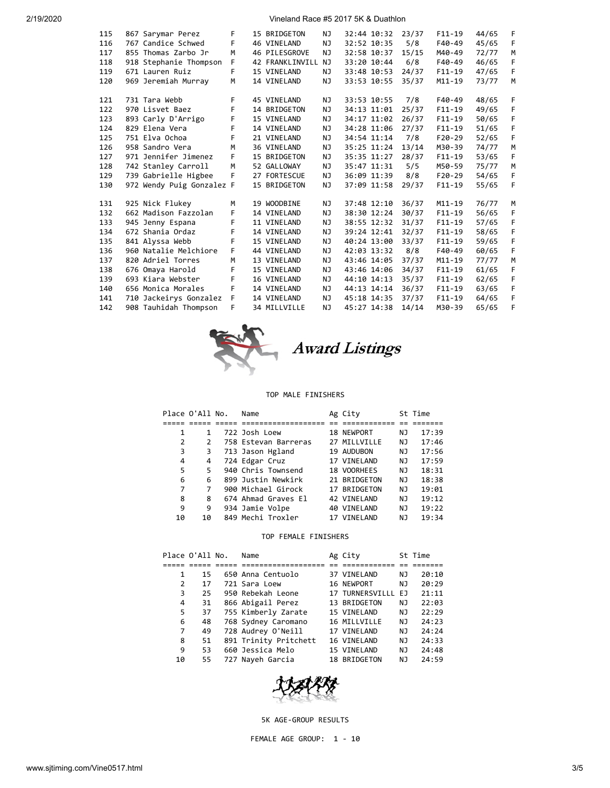| 115 | 867 Sarymar Perez         | F  | 15 BRIDGETON    | ΝJ  | 32:44 10:32 | 23/37 | $F11 - 19$ | 44/65 | F |
|-----|---------------------------|----|-----------------|-----|-------------|-------|------------|-------|---|
| 116 | 767 Candice Schwed        | F  | 46 VINELAND     | NJ  | 32:52 10:35 | 5/8   | $F40-49$   | 45/65 | F |
| 117 | 855 Thomas Zarbo Jr       | M  | 46 PILESGROVE   | NJ  | 32:58 10:37 | 15/15 | M40-49     | 72/77 | M |
| 118 | 918 Stephanie Thompson    | F. | 42 FRANKLINVILL | NJ  | 33:20 10:44 | 6/8   | $F40-49$   | 46/65 | F |
| 119 | 671 Lauren Ruiz           | F  | 15 VINELAND     | NJ  | 33:48 10:53 | 24/37 | $F11 - 19$ | 47/65 | F |
| 120 | 969 Jeremiah Murray       | M  | 14 VINELAND     | NJ  | 33:53 10:55 | 35/37 | M11-19     | 73/77 | M |
|     |                           |    |                 |     |             |       |            |       |   |
| 121 | 731 Tara Webb             | F  | 45 VINELAND     | NJ  | 33:53 10:55 | 7/8   | F40-49     | 48/65 | F |
| 122 | 970 Lisvet Baez           | F  | 14 BRIDGETON    | NJ  | 34:13 11:01 | 25/37 | $F11 - 19$ | 49/65 | F |
| 123 | 893 Carly D'Arrigo        | F  | 15 VINELAND     | NJ. | 34:17 11:02 | 26/37 | $F11-19$   | 50/65 | F |
| 124 | 829 Elena Vera            | F  | 14 VINELAND     | NJ  | 34:28 11:06 | 27/37 | $F11-19$   | 51/65 | F |
| 125 | 751 Elva Ochoa            | F  | 21 VINELAND     | NJ  | 34:54 11:14 | 7/8   | $F20-29$   | 52/65 | F |
| 126 | 958 Sandro Vera           | M  | 36 VINELAND     | NJ  | 35:25 11:24 | 13/14 | M30-39     | 74/77 | M |
| 127 | 971 Jennifer Jimenez      | F  | 15 BRIDGETON    | NJ  | 35:35 11:27 | 28/37 | $F11 - 19$ | 53/65 | F |
| 128 | 742 Stanley Carroll       | M  | 52 GALLOWAY     | NJ  | 35:47 11:31 | 5/5   | M50-59     | 75/77 | M |
| 129 | 739 Gabrielle Higbee      | F  | 27 FORTESCUE    | NJ  | 36:09 11:39 | 8/8   | $F20-29$   | 54/65 | F |
| 130 | 972 Wendy Puig Gonzalez F |    | 15 BRIDGETON    | NJ  | 37:09 11:58 | 29/37 | $F11 - 19$ | 55/65 | F |
|     |                           |    |                 |     |             |       |            |       |   |
| 131 | 925 Nick Flukey           | М  | 19 WOODBINE     | NJ. | 37:48 12:10 | 36/37 | $M11 - 19$ | 76/77 | M |
| 132 | 662 Madison Fazzolan      | F  | 14 VINELAND     | NJ. | 38:30 12:24 | 30/37 | $F11-19$   | 56/65 | F |
| 133 | 945 Jenny Espana          | F  | 11 VINELAND     | NJ  | 38:55 12:32 | 31/37 | $F11 - 19$ | 57/65 | F |
| 134 | 672 Shania Ordaz          | F  | 14 VINELAND     | NJ  | 39:24 12:41 | 32/37 | $F11-19$   | 58/65 | F |
| 135 | 841 Alyssa Webb           | F  | 15 VINELAND     | NJ  | 40:24 13:00 | 33/37 | $F11 - 19$ | 59/65 | F |
| 136 | 960 Natalie Melchiore     | F  | 44 VINELAND     | NJ  | 42:03 13:32 | 8/8   | $F40-49$   | 60/65 | F |
| 137 | 820 Adriel Torres         | M  | 13 VINELAND     | NJ  | 43:46 14:05 | 37/37 | M11-19     | 77/77 | M |
| 138 | 676 Omaya Harold          | F  | 15 VINELAND     | NJ  | 43:46 14:06 | 34/37 | $F11-19$   | 61/65 | F |
| 139 | 693 Kiara Webster         | F  | 16 VINELAND     | NJ. | 44:10 14:13 | 35/37 | $F11 - 19$ | 62/65 | F |
| 140 | 656 Monica Morales        | F  | 14 VINELAND     | NJ. | 44:13 14:14 | 36/37 | $F11 - 19$ | 63/65 | F |
| 141 | 710 Jackeirys Gonzalez    | F  | 14 VINELAND     | NJ. | 45:18 14:35 | 37/37 | $F11-19$   | 64/65 | F |
| 142 | 908 Tauhidah Thompson     | F  | 34 MILLVILLE    | NJ  | 45:27 14:38 | 14/14 | M30-39     | 65/65 | F |
|     |                           |    |                 |     |             |       |            |       |   |



# Award Listings

## TOP MALE FINISHERS

|    |    | Name            |                                                                                                                                                                                                              |                                                                                                                                                                | St Time |
|----|----|-----------------|--------------------------------------------------------------------------------------------------------------------------------------------------------------------------------------------------------------|----------------------------------------------------------------------------------------------------------------------------------------------------------------|---------|
|    |    |                 |                                                                                                                                                                                                              |                                                                                                                                                                |         |
| 1  | 1  |                 |                                                                                                                                                                                                              | ΝJ                                                                                                                                                             | 17:39   |
| 2  | 2  |                 |                                                                                                                                                                                                              | NJ                                                                                                                                                             | 17:46   |
| 3  | 3  |                 |                                                                                                                                                                                                              | ΝJ                                                                                                                                                             | 17:56   |
| 4  | 4  |                 |                                                                                                                                                                                                              | NJ                                                                                                                                                             | 17:59   |
| 5  | 5  |                 |                                                                                                                                                                                                              | NJ                                                                                                                                                             | 18:31   |
| 6  | 6  |                 |                                                                                                                                                                                                              | NJ                                                                                                                                                             | 18:38   |
| 7  | 7  |                 |                                                                                                                                                                                                              | NJ                                                                                                                                                             | 19:01   |
| 8  | 8  |                 |                                                                                                                                                                                                              | ΝJ                                                                                                                                                             | 19:12   |
| 9  | 9  |                 |                                                                                                                                                                                                              | ΝJ                                                                                                                                                             | 19:22   |
| 10 | 10 |                 |                                                                                                                                                                                                              | NJ                                                                                                                                                             | 19:34   |
|    |    | Place O'All No. | 722 Josh Loew<br>758 Estevan Barreras<br>713 Jason Hgland<br>724 Edgar Cruz<br>940 Chris Townsend<br>899 Justin Newkirk<br>900 Michael Girock<br>674 Ahmad Graves El<br>934 Jamie Volpe<br>849 Mechi Troxler | Ag City<br>18 NEWPORT<br>27 MILLVILLE<br>19 AUDUBON<br>17 VINELAND<br>18 VOORHEES<br>21 BRIDGETON<br>17 BRIDGETON<br>42 VINELAND<br>40 VINELAND<br>17 VINELAND |         |

## TOP FEMALE FINISHERS

|    | Place O'All No. | Name                  | Ag City            |    | St Time |
|----|-----------------|-----------------------|--------------------|----|---------|
|    |                 |                       |                    |    |         |
| 1  | 15              | 650 Anna Centuolo     | 37 VINELAND        | ΝJ | 20:10   |
| 2  | 17              | 721 Sara Loew         | 16 NEWPORT         | NJ | 20:29   |
| 3  | 25              | 950 Rebekah Leone     | 17 TURNERSVILLL EJ |    | 21:11   |
| 4  | 31              | 866 Abigail Perez     | 13 BRIDGETON       | NJ | 22:03   |
| 5  | 37              | 755 Kimberly Zarate   | 15 VINELAND        | NJ | 22:29   |
| 6  | 48              | 768 Sydney Caromano   | 16 MILLVILLE       | NJ | 24:23   |
| 7  | 49              | 728 Audrey O'Neill    | 17 VINELAND        | NJ | 24:24   |
| 8  | 51              | 891 Trinity Pritchett | 16 VINELAND        | NJ | 24:33   |
| 9  | 53              | 660 Jessica Melo      | 15 VINELAND        | ΝJ | 24:48   |
| 10 | 55              | 727 Nayeh Garcia      | 18 BRIDGETON       | NJ | 24:59   |



5K AGE-GROUP RESULTS

FEMALE AGE GROUP: 1 - 10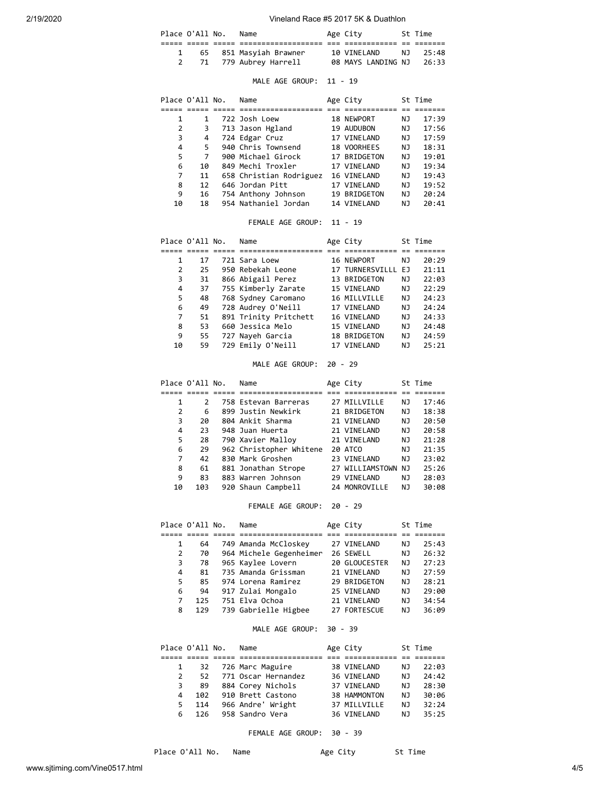| Place O'All No. |  | Name                   | Age City                 | St Time  |  |
|-----------------|--|------------------------|--------------------------|----------|--|
|                 |  |                        |                          |          |  |
|                 |  | 65 851 Masyiah Brawner | 10 VINELAND              | N. 25:48 |  |
|                 |  | 71 779 Aubrey Harrell  | 08 MAYS LANDING NJ 26:33 |          |  |

## MALE AGE GROUP: 11 - 19

|    | Place O'All No. | Name                    | Age City     |    | St Time |
|----|-----------------|-------------------------|--------------|----|---------|
|    |                 |                         |              |    |         |
| 1  |                 | 722 Josh Loew           | 18 NEWPORT   | ΝJ | 17:39   |
| 2  | 3               | 713 Jason Hgland        | 19 AUDUBON   | NJ | 17:56   |
| 3  | 4               | 724 Edgar Cruz          | 17 VINELAND  | ΝJ | 17:59   |
| 4  | 5               | 940 Chris Townsend      | 18 VOORHEES  | NJ | 18:31   |
| 5  | 7               | 900 Michael Girock      | 17 BRIDGETON | ΝJ | 19:01   |
| 6  | 10              | 849 Mechi Troxler       | 17 VINELAND  | ΝJ | 19:34   |
| 7  | 11              | 658 Christian Rodriguez | 16 VINELAND  | ΝJ | 19:43   |
| 8  | 12              | 646 Jordan Pitt         | 17 VINELAND  | ΝJ | 19:52   |
| 9  | 16              | 754 Anthony Johnson     | 19 BRIDGETON | ΝJ | 20:24   |
| 10 | 18              | 954 Nathaniel Jordan    | 14 VINELAND  | ΝJ | 20:41   |

## FEMALE AGE GROUP: 11 - 19

|    | Place O'All No. | Name                  | Age City           |    | St Time |
|----|-----------------|-----------------------|--------------------|----|---------|
|    |                 |                       |                    |    |         |
| 1  | 17              | 721 Sara Loew         | 16 NEWPORT         | ΝJ | 20:29   |
| 2  | 25              | 950 Rebekah Leone     | 17 TURNERSVILLL EJ |    | 21:11   |
| 3  | 31              | 866 Abigail Perez     | 13 BRIDGETON       | NJ | 22:03   |
| 4  | 37              | 755 Kimberly Zarate   | 15 VINELAND        | NJ | 22:29   |
| 5. | 48              | 768 Sydney Caromano   | 16 MILLVILLE       | NJ | 24:23   |
| 6  | 49              | 728 Audrey O'Neill    | 17 VINELAND        | ΝJ | 24:24   |
| 7  | 51              | 891 Trinity Pritchett | 16 VINELAND        | ΝJ | 24:33   |
| 8  | 53              | 660 Jessica Melo      | 15 VINELAND        | NJ | 24:48   |
| 9  | 55              | 727 Nayeh Garcia      | 18 BRIDGETON       | NJ | 24:59   |
| 10 | 59              | 729 Emily O'Neill     | 17 VINELAND        | ΝJ | 25:21   |

## MALE AGE GROUP: 20 - 29

|                | Place O'All No. | Name                    | Age City           |    | St Time |
|----------------|-----------------|-------------------------|--------------------|----|---------|
|                |                 |                         |                    |    |         |
| 1              | $\mathcal{P}$   | 758 Estevan Barreras    | 27 MILLVILLE       | ΝJ | 17:46   |
| $\overline{2}$ | 6               | 899 Justin Newkirk      | 21 BRIDGETON       | NJ | 18:38   |
| 3              | 20              | 804 Ankit Sharma        | 21 VINELAND        | ΝJ | 20:50   |
| 4              | 23              | 948 Juan Huerta         | 21 VINELAND        | NJ | 20:58   |
| 5              | 28              | 790 Xavier Malloy       | 21 VINELAND        | NJ | 21:28   |
| 6              | 29              | 962 Christopher Whitene | 20 ATCO            | ΝJ | 21:35   |
| 7              | 42              | 830 Mark Groshen        | 23 VINELAND        | ΝJ | 23:02   |
| 8              | 61              | 881 Jonathan Strope     | 27 WILLIAMSTOWN NJ |    | 25:26   |
| 9              | 83              | 883 Warren Johnson      | 29 VINELAND        | ΝJ | 28:03   |
| 10             | 103             | 920 Shaun Campbell      | 24 MONROVILLE      | NJ | 30:08   |

## FEMALE AGE GROUP: 20 - 29

|    | Place O'All No. | Name                    | Age City      |    | St Time |
|----|-----------------|-------------------------|---------------|----|---------|
|    |                 |                         |               |    |         |
| 1  | 64              | 749 Amanda McCloskey    | 27 VINELAND   | ΝJ | 25:43   |
| 2  | 70              | 964 Michele Gegenheimer | 26 SEWELL     | ΝJ | 26:32   |
| 3  | 78              | 965 Kaylee Lovern       | 20 GLOUCESTER | NJ | 27:23   |
| 4  | 81              | 735 Amanda Grissman     | 21 VINELAND   | NJ | 27:59   |
| 5. | 85              | 974 Lorena Ramirez      | 29 BRIDGETON  | ΝJ | 28:21   |
| 6  | 94              | 917 Zulai Mongalo       | 25 VINELAND   | ΝJ | 29:00   |
| 7  | 125             | 751 Elva Ochoa          | 21 VINELAND   | ΝJ | 34:54   |
| 8  | 129             | 739 Gabrielle Higbee    | 27 FORTESCUE  | ΝJ | 36:09   |

# MALE AGE GROUP: 30 - 39

|               | Place O'All No. | Name                | Age City     |     | St Time |
|---------------|-----------------|---------------------|--------------|-----|---------|
|               |                 |                     |              |     |         |
|               | 32              | 726 Marc Maguire    | 38 VINELAND  | NJ. | 22:03   |
| $\mathcal{P}$ | 52              | 771 Oscar Hernandez | 36 VINELAND  | NJ  | 24:42   |
| 3             | 89              | 884 Corey Nichols   | 37 VINELAND  | NJ  | 28:30   |
| 4             | 102             | 910 Brett Castono   | 38 HAMMONTON | N J | 30:06   |
| 5.            | 114             | 966 Andre' Wright   | 37 MILLVILLE | NJ. | 32:24   |
| 6             | 126             | 958 Sandro Vera     | 36 VINELAND  | ΝJ  | 35:25   |

## FEMALE AGE GROUP: 30 - 39